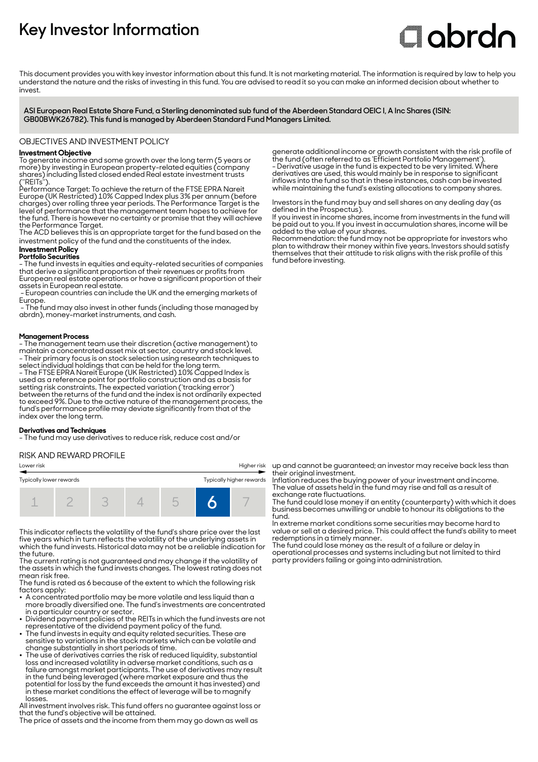# **Key Investor Information**

# **Clobrdn**

This document provides you with key investor information about this fund. It is not marketing material. The information is required by law to help you understand the nature and the risks of investing in this fund. You are advised to read it so you can make an informed decision about whether to invest

**ASI European Real Estate Share Fund, a Sterling denominated sub fund of the Aberdeen Standard OEIC I, A Inc Shares (ISIN: GB00BWK26782). This fund is managed by Aberdeen Standard Fund Managers Limited.**

OBJECTIVES AND INVESTMENT POLICY

# **Investment Objective**

To generate income and some growth over the long term (5 years or more) by investing in European property-related equities (company shares) including listed closed ended Real estate investment trusts (''REITs'').

Performance Target: To achieve the return of the FTSE EPRA Nareit Europe (UK Restricted) 10% Capped Index plus 3% per annum (before charges) over rolling three year periods. The Performance Target is the level of performance that the management team hopes to achieve for the fund. There is however no certainty or promise that they will achieve the Performance Target.

The ACD believes this is an appropriate target for the fund based on the investment policy of the fund and the constituents of the index.

# **Investment Policy**

**Portfolio Securities** - The fund invests in equities and equity-related securities of companies that derive a significant proportion of their revenues or profits from

European real estate operations or have a significant proportion of their assets in European real estate.

- European countries can include the UK and the emerging markets of Europe.

 - The fund may also invest in other funds (including those managed by abrdn), money-market instruments, and cash.

# **Management Process**

- The management team use their discretion (active management) to maintain a concentrated asset mix at sector, country and stock level. - Their primary focus is on stock selection using research techniques to

select individual holdings that can be held for the long term. - The FTSE EPRA Nareit Europe (UK Restricted) 10% Capped Index is used as a reference point for portfolio construction and as a basis for setting risk constraints. The expected variation ('tracking error') between the returns of the fund and the index is not ordinarily expected to exceed 9%. Due to the active nature of the management process, the fund's performance profile may deviate significantly from that of the index over the long term.

## **Derivatives and Techniques**

- The fund may use derivatives to reduce risk, reduce cost and/or

# RISK AND REWARD PROFILE

| Lower risk              |  |  | Higher risk |                          |
|-------------------------|--|--|-------------|--------------------------|
| Typically lower rewards |  |  |             | Typically higher rewards |
|                         |  |  |             | $\frac{1}{2}$            |

This indicator reflects the volatility of the fund's share price over the last five years which in turn reflects the volatility of the underlying assets in which the fund invests. Historical data may not be a reliable indication for the future.

The current rating is not guaranteed and may change if the volatility of the assets in which the fund invests changes. The lowest rating does not mean risk free.

The fund is rated as 6 because of the extent to which the following risk factors apply:

- $\bullet\,$  A concentrated portfolio may be more volatile and less liquid than a more broadly diversified one. The fund's investments are concentrated in a particular country or sector.
- Dividend payment policies of the REITs in which the fund invests are not
- representative of the dividend payment policy of the fund. 2 The fund invests in equity and equity related securities. These are sensitive to variations in the stock markets which can be volatile and change substantially in short periods of time.
- The use of derivatives carries the risk of reduced liquidity, substantial loss and increased volatility in adverse market conditions, such as a failure amongst market participants. The use of derivatives may result in the fund being leveraged (where market exposure and thus the potential for loss by the fund exceeds the amount it has invested) and in these market conditions the effect of leverage will be to magnify losses.

All investment involves risk. This fund offers no guarantee against loss or that the fund's objective will be attained.

The price of assets and the income from them may go down as well as

generate additional income or growth consistent with the risk profile of the fund (often referred to as 'Efficient Portfolio Management'). - Derivative usage in the fund is expected to be very limited. Where derivatives are used, this would mainly be in response to significant inflows into the fund so that in these instances, cash can be invested while maintaining the fund's existing allocations to company shares.

Investors in the fund may buy and sell shares on any dealing day (as defined in the Prospectus).

If you invest in income shares, income from investments in the fund will be paid out to you. If you invest in accumulation shares, income will be added to the value of your shares.

Recommendation: the fund may not be appropriate for investors who plan to withdraw their money within five years. Investors should satisfy themselves that their attitude to risk aligns with the risk profile of this fund before investing.

up and cannot be guaranteed; an investor may receive back less than their original investment.

Inflation reduces the buying power of your investment and income. The value of assets held in the fund may rise and fall as a result of exchange rate fluctuations.

The fund could lose money if an entity (counterparty) with which it does business becomes unwilling or unable to honour its obligations to the fund.

In extreme market conditions some securities may become hard to value or sell at a desired price. This could affect the fund's ability to meet redemptions in a timely manner.

The fund could lose money as the result of a failure or delay in operational processes and systems including but not limited to third party providers failing or going into administration.